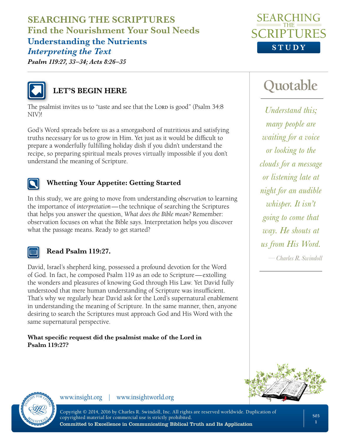**SEARCHING THE SCRIPTURES Find the Nourishment Your Soul Needs Understanding the Nutrients** *Interpreting the Text*



*Psalm 119:27, 33–34; Acts 8:26–35*



## **LET'S BEGIN HERE**

The psalmist invites us to "taste and see that the Lorp is good" (Psalm 34:8) NIV)!

God's Word spreads before us as a smorgasbord of nutritious and satisfying truths necessary for us to grow in Him. Yet just as it would be difficult to prepare a wonderfully fulfilling holiday dish if you didn't understand the recipe, so preparing spiritual meals proves virtually impossible if you don't understand the meaning of Scripture.



#### **Whetting Your Appetite: Getting Started**

In this study, we are going to move from understanding *observation* to learning the importance of *interpretation*—the technique of searching the Scriptures that helps you answer the question, *What does the Bible mean?* Remember: observation focuses on what the Bible says. Interpretation helps you discover what the passage means. Ready to get started?



#### **Read Psalm 119:27.**

David, Israel's shepherd king, possessed a profound devotion for the Word of God. In fact, he composed Psalm 119 as an ode to Scripture—extolling the wonders and pleasures of knowing God through His Law. Yet David fully understood that mere human understanding of Scripture was insufficient. That's why we regularly hear David ask for the Lord's supernatural enablement in understanding the meaning of Scripture. In the same manner, then, anyone desiring to search the Scriptures must approach God and His Word with the same supernatural perspective.

#### **What specific request did the psalmist make of the Lord in Psalm 119:27?**

# **Quotable**

*—Charles R. Swindoll Understand this; many people are waiting for a voice or looking to the clouds for a message or listening late at night for an audible whisper. It isn't going to come that way. He shouts at us from His Word.*





www.insight.org | www.insightworld.org

Copyright © 2014, 2016 by Charles R. Swindoll, Inc. All rights are reserved worldwide. Duplication of copyrighted material for commercial use is strictly prohibited. Committed to Excellence in Communicating Biblical Truth and Its Application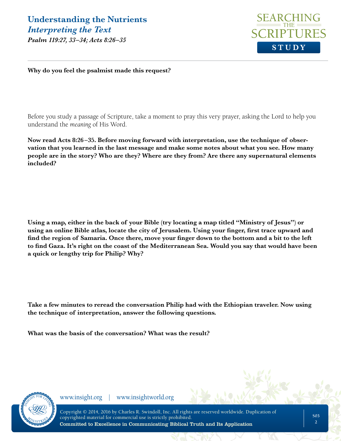

**Why do you feel the psalmist made this request?**

Before you study a passage of Scripture, take a moment to pray this very prayer, asking the Lord to help you understand the *meaning* of His Word.

**Now read Acts 8:26 –35. Before moving forward with interpretation, use the technique of observation that you learned in the last message and make some notes about what you see. How many people are in the story? Who are they? Where are they from? Are there any supernatural elements included?**

**Using a map, either in the back of your Bible (try locating a map titled "Ministry of Jesus") or using an online Bible atlas, locate the city of Jerusalem. Using your finger, first trace upward and find the region of Samaria. Once there, move your finger down to the bottom and a bit to the left to find Gaza. It's right on the coast of the Mediterranean Sea. Would you say that would have been a quick or lengthy trip for Philip? Why?**

**Take a few minutes to reread the conversation Philip had with the Ethiopian traveler. Now using the technique of interpretation, answer the following questions.**

**What was the basis of the conversation? What was the result?**

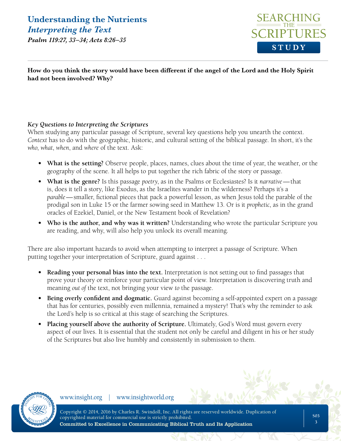**Understanding the Nutrients** *Interpreting the Text*

*Psalm 119:27, 33–34; Acts 8:26–35*



**How do you think the story would have been different if the angel of the Lord and the Holy Spirit had not been involved? Why?**

#### *Key Questions to Interpreting the Scriptures*

When studying any particular passage of Scripture, several key questions help you unearth the context. *Context* has to do with the geographic, historic, and cultural setting of the biblical passage. In short, it's the *who*, *what*, *when*, and *where* of the text. Ask:

- **• What is the setting?** Observe people, places, names, clues about the time of year, the weather, or the geography of the scene. It all helps to put together the rich fabric of the story or passage.
- **• What is the genre?** Is this passage *poetry*, as in the Psalms or Ecclesiastes? Is it *narrative*—that is, does it tell a story, like Exodus, as the Israelites wander in the wilderness? Perhaps it's a *parable*—smaller, fictional pieces that pack a powerful lesson, as when Jesus told the parable of the prodigal son in Luke 15 or the farmer sowing seed in Matthew 13. Or is it *prophetic*, as in the grand oracles of Ezekiel, Daniel, or the New Testament book of Revelation?
- **• Who is the author, and why was it written?** Understanding who wrote the particular Scripture you are reading, and why, will also help you unlock its overall meaning.

There are also important hazards to avoid when attempting to interpret a passage of Scripture. When putting together your interpretation of Scripture, guard against . . .

- **• Reading your personal bias into the text.** Interpretation is not setting out to find passages that prove your theory or reinforce your particular point of view. Interpretation is discovering truth and meaning *out of* the text, not bringing your view *to* the passage.
- **• Being overly confident and dogmatic.** Guard against becoming a self-appointed expert on a passage that has for centuries, possibly even millennia, remained a mystery! That's why the reminder to ask the Lord's help is so critical at this stage of searching the Scriptures.
- **• Placing yourself above the authority of Scripture.** Ultimately, God's Word must govern every aspect of our lives. It is essential that the student not only be careful and diligent in his or her study of the Scriptures but also live humbly and consistently in submission to them.

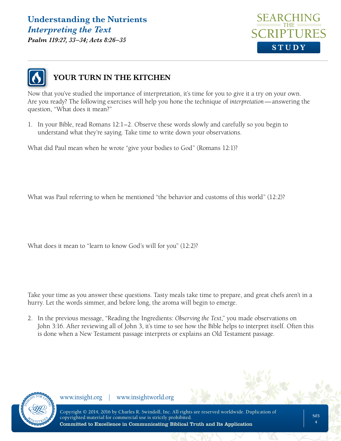## **Understanding the Nutrients** *Interpreting the Text*

*Psalm 119:27, 33–34; Acts 8:26–35*





### **YOUR TURN IN THE KITCHEN**

Now that you've studied the importance of interpretation, it's time for you to give it a try on your own. Are you ready? The following exercises will help you hone the technique of *interpretation*—answering the question, "What does it mean?"

1. In your Bible, read Romans 12:1–2. Observe these words slowly and carefully so you begin to understand what they're saying. Take time to write down your observations.

What did Paul mean when he wrote "give your bodies to God" (Romans 12:1)?

What was Paul referring to when he mentioned "the behavior and customs of this world" (12:2)?

What does it mean to "learn to know God's will for you" (12:2)?

Take your time as you answer these questions. Tasty meals take time to prepare, and great chefs aren't in a hurry. Let the words simmer, and before long, the aroma will begin to emerge.

2. In the previous message, "Reading the Ingredients: *Observing the Text*," you made observations on John 3:16. After reviewing all of John 3, it's time to see how the Bible helps to interpret itself. Often this is done when a New Testament passage interprets or explains an Old Testament passage.

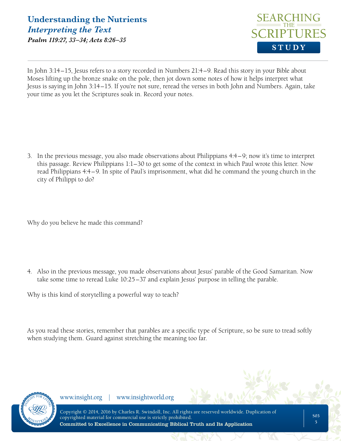

In John 3:14–15, Jesus refers to a story recorded in Numbers 21:4–9. Read this story in your Bible about Moses lifting up the bronze snake on the pole, then jot down some notes of how it helps interpret what Jesus is saying in John 3:14–15. If you're not sure, reread the verses in both John and Numbers. Again, take your time as you let the Scriptures soak in. Record your notes.

3. In the previous message, you also made observations about Philippians 4:4–9; now it's time to interpret this passage. Review Philippians 1:1–30 to get some of the context in which Paul wrote this letter. Now read Philippians 4:4–9. In spite of Paul's imprisonment, what did he command the young church in the city of Philippi to do?

Why do you believe he made this command?

4. Also in the previous message, you made observations about Jesus' parable of the Good Samaritan. Now take some time to reread Luke 10:25–37 and explain Jesus' purpose in telling the parable.

Why is this kind of storytelling a powerful way to teach?

As you read these stories, remember that parables are a specific type of Scripture, so be sure to tread softly when studying them. Guard against stretching the meaning too far.

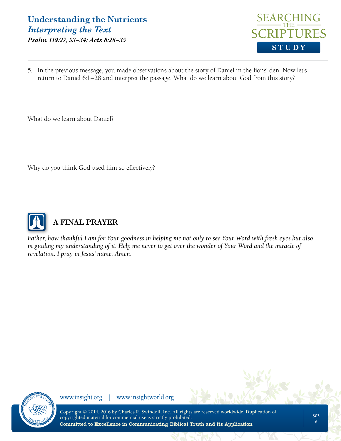#### **Understanding the Nutrients** *Interpreting the Text Psalm 119:27, 33–34; Acts 8:26–35*



5. In the previous message, you made observations about the story of Daniel in the lions' den. Now let's return to Daniel 6:1–28 and interpret the passage. What do we learn about God from this story?

What do we learn about Daniel?

Why do you think God used him so effectively?



## **A FINAL PRAYER**

*Father, how thankful I am for Your goodness in helping me not only to see Your Word with fresh eyes but also in guiding my understanding of it. Help me never to get over the wonder of Your Word and the miracle of revelation. I pray in Jesus' name. Amen.*